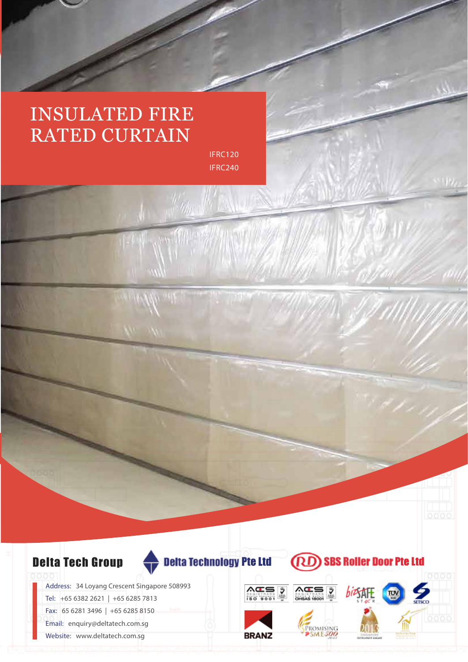## INSULATED FIRE RATED CURTAIN

IFRC120 IFRC240



Fax: 65 6281 3496 | +65 6285 8150

Email: enquiry@deltatech.com.sg

Website: www.deltatech.com.sg



**CRD** 

**SBS Roller Door Pte Ltd**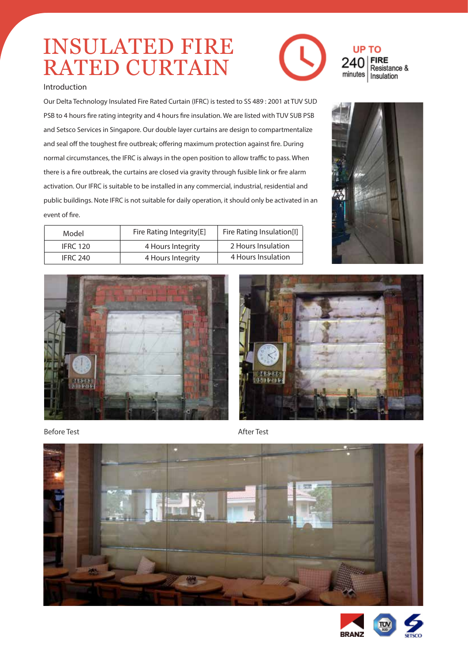# INSULATED FIRE RATED CURTAIN



Our Delta Technology Insulated Fire Rated Curtain (IFRC) is tested to SS 489 : 2001 at TUV SUD PSB to 4 hours fire rating integrity and 4 hours fire insulation. We are listed with TUV SUB PSB and Setsco Services in Singapore. Our double layer curtains are design to compartmentalize and seal off the toughest fire outbreak; offering maximum protection against fire. During normal circumstances, the IFRC is always in the open position to allow traffic to pass. When there is a fire outbreak, the curtains are closed via gravity through fusible link or fire alarm activation. Our IFRC is suitable to be installed in any commercial, industrial, residential and public buildings. Note IFRC is not suitable for daily operation, it should only be activated in an event of fire.

| Model           | Fire Rating Integrity[E] | Fire Rating Insulation[I] |
|-----------------|--------------------------|---------------------------|
| <b>IFRC 120</b> | 4 Hours Integrity        | 2 Hours Insulation        |
| IFRC 240        | 4 Hours Integrity        | 4 Hours Insulation        |



Before Test **After Test** 













### **UP TO** Resistance & minutes Insulation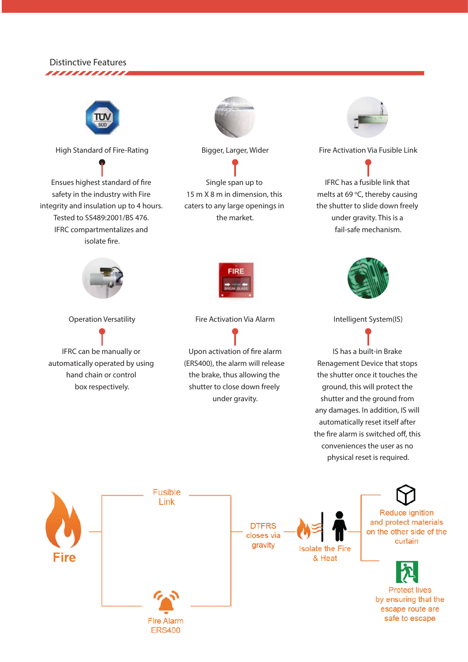#### **Distinctive Features** ,,,,,,,,,,,,,,



**High Standard of Fire-Rating**

Electro-galvanized, Colourbond, Powder Coated, Fluorocarbon

Ensues highest standard of fire safety in the industry with Fire integrity and insulation up to 4 hours. Tested to SS489:2001/BS 476. IFRC compartmentalizes and isolate fire.



**Operation Versatility**

IFRC can be manually or automatically operated by using hand chain or control box respectively.



**Bigger, Larger, Wider**

Single span up to 15 m X 8 m in dimension, this caters to any large openings in the market.



**Fire Activation Via Alarm**

Upon activation of fire alarm (ERS400), the alarm will release the brake, thus allowing the shutter to close down freely under gravity.



**Fire Activation Via Fusible Link**

IFRC has a fusible link that melts at 69 $\degree$ C, thereby causing the shutter to slide down freely under gravity. This is a fail-safe mechanism.



**Intelligent System(IS)**

IS has a built-in Brake Renagement Device that stops the shutter once it touches the ground, this will protect the shutter and the ground from any damages. In addition, IS will automatically reset itself after the fire alarm is switched off, this conveniences the user as no physical reset is required.

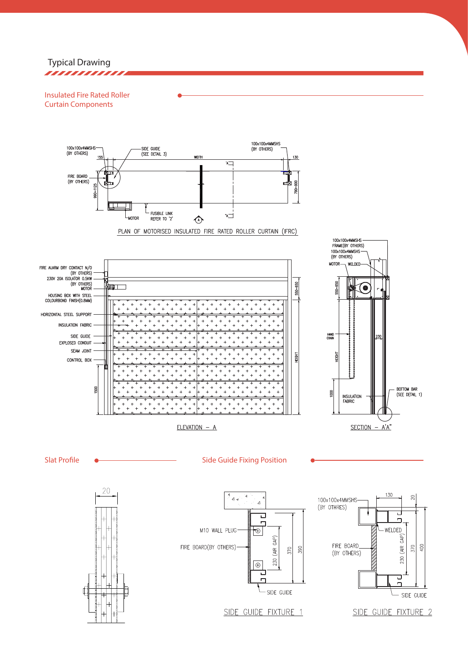**Typical Drawing** ,,,,,,,,,,,,,

**Insulated Fire Rated Roller Curtain Components**



PLAN OF MOTORISED INSULATED FIRE RATED ROLLER CURTAIN (IFRC)



SIDE GUIDE FIXTURE 1

SIDE GUIDE FIXTURE 2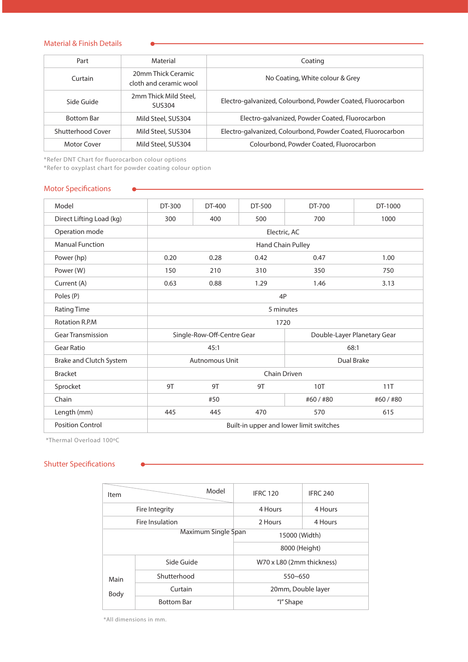#### **Material & Finish Details**

| Part              | Material                                     | Coating                                                     |
|-------------------|----------------------------------------------|-------------------------------------------------------------|
| Curtain           | 20mm Thick Ceramic<br>cloth and ceramic wool | No Coating, White colour & Grey                             |
| Side Guide        | 2mm Thick Mild Steel,<br>SUS304              | Electro-galvanized, Colourbond, Powder Coated, Fluorocarbon |
| <b>Bottom Bar</b> | Mild Steel, SUS304                           | Electro-galvanized, Powder Coated, Fluorocarbon             |
| Shutterhood Cover | Mild Steel, SUS304                           | Electro-galvanized, Colourbond, Powder Coated, Fluorocarbon |
| Motor Cover       | Mild Steel, SUS304                           | Colourbond, Powder Coated, Fluorocarbon                     |

*\*Refer DNT Chart for uorocarbon colour options*

*\*Refer to oxyplast chart for powder coating colour option*

 $\bullet$ 

#### **Motor Specifications**

| Model                    | DT-300                                  | DT-400 | DT-500                      | DT-700  | DT-1000 |
|--------------------------|-----------------------------------------|--------|-----------------------------|---------|---------|
| Direct Lifting Load (kg) | 300                                     | 400    | 500                         | 700     | 1000    |
| Operation mode           | Electric, AC                            |        |                             |         |         |
| <b>Manual Function</b>   | Hand Chain Pulley                       |        |                             |         |         |
| Power (hp)               | 0.20                                    | 0.28   | 0.42                        | 0.47    | 1.00    |
| Power (W)                | 150                                     | 210    | 310                         | 350     | 750     |
| Current (A)              | 0.63                                    | 0.88   | 1.29                        | 1.46    | 3.13    |
| Poles (P)                | 4P                                      |        |                             |         |         |
| <b>Rating Time</b>       | 5 minutes                               |        |                             |         |         |
| <b>Rotation R.P.M</b>    | 1720                                    |        |                             |         |         |
| <b>Gear Transmission</b> | Single-Row-Off-Centre Gear              |        | Double-Layer Planetary Gear |         |         |
| <b>Gear Ratio</b>        | 45:1                                    |        | 68:1                        |         |         |
| Brake and Clutch System  | Dual Brake<br><b>Autnomous Unit</b>     |        |                             |         |         |
| <b>Bracket</b>           | Chain Driven                            |        |                             |         |         |
| Sprocket                 | 9T                                      | 9T     | 9T                          | 10T     | 11T     |
| Chain                    | #50                                     |        |                             | #60/#80 | #60/#80 |
| Length (mm)              | 445                                     | 445    | 470                         | 570     | 615     |
| <b>Position Control</b>  | Built-in upper and lower limit switches |        |                             |         |         |

*\*Thermal Overload 100ºC*

### **Shutter Specifications**

| Item                | Model             | <b>IFRC 120</b>           | <b>IFRC 240</b> |  |
|---------------------|-------------------|---------------------------|-----------------|--|
| Fire Integrity      |                   | 4 Hours                   | 4 Hours         |  |
| Fire Insulation     |                   | 2 Hours                   | 4 Hours         |  |
| Maximum Single Span |                   | 15000 (Width)             |                 |  |
|                     |                   | 8000 (Height)             |                 |  |
|                     | Side Guide        | W70 x L80 (2mm thickness) |                 |  |
| Main                | Shutterhood       | $550 - 650$               |                 |  |
| Body                | Curtain           | 20mm, Double layer        |                 |  |
|                     | <b>Bottom Bar</b> | "I" Shape                 |                 |  |

*\*All dimensions in mm.*

 $\bullet$